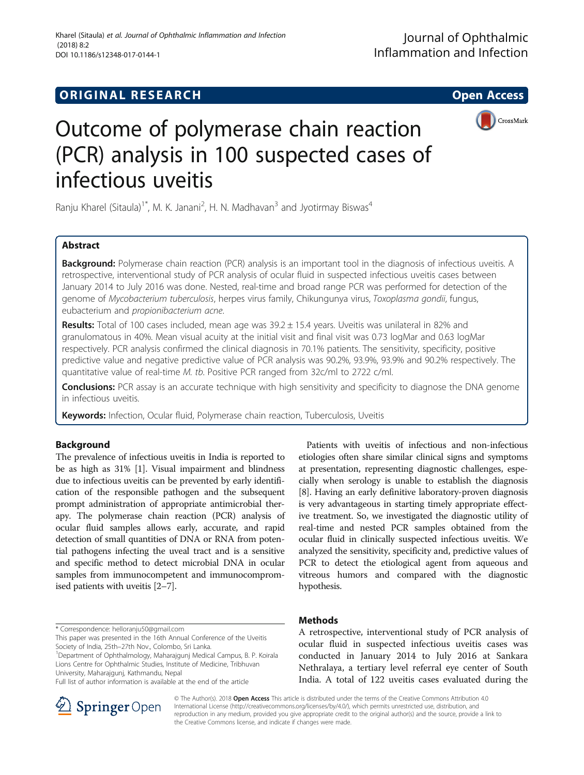## **ORIGINAL RESEARCH CONSUMING ACCESS**



# Outcome of polymerase chain reaction (PCR) analysis in 100 suspected cases of infectious uveitis

Ranju Kharel (Sitaula)<sup>1\*</sup>, M. K. Janani<sup>2</sup>, H. N. Madhavan<sup>3</sup> and Jyotirmay Biswas<sup>4</sup>

## Abstract

**Background:** Polymerase chain reaction (PCR) analysis is an important tool in the diagnosis of infectious uveitis. A retrospective, interventional study of PCR analysis of ocular fluid in suspected infectious uveitis cases between January 2014 to July 2016 was done. Nested, real-time and broad range PCR was performed for detection of the genome of Mycobacterium tuberculosis, herpes virus family, Chikungunya virus, Toxoplasma gondii, fungus, eubacterium and propionibacterium acne.

Results: Total of 100 cases included, mean age was 39.2 ± 15.4 years. Uveitis was unilateral in 82% and granulomatous in 40%. Mean visual acuity at the initial visit and final visit was 0.73 logMar and 0.63 logMar respectively. PCR analysis confirmed the clinical diagnosis in 70.1% patients. The sensitivity, specificity, positive predictive value and negative predictive value of PCR analysis was 90.2%, 93.9%, 93.9% and 90.2% respectively. The quantitative value of real-time M. tb. Positive PCR ranged from 32c/ml to 2722 c/ml.

**Conclusions:** PCR assay is an accurate technique with high sensitivity and specificity to diagnose the DNA genome in infectious uveitis.

Keywords: Infection, Ocular fluid, Polymerase chain reaction, Tuberculosis, Uveitis

## Background

The prevalence of infectious uveitis in India is reported to be as high as 31% [\[1](#page-7-0)]. Visual impairment and blindness due to infectious uveitis can be prevented by early identification of the responsible pathogen and the subsequent prompt administration of appropriate antimicrobial therapy. The polymerase chain reaction (PCR) analysis of ocular fluid samples allows early, accurate, and rapid detection of small quantities of DNA or RNA from potential pathogens infecting the uveal tract and is a sensitive and specific method to detect microbial DNA in ocular samples from immunocompetent and immunocompromised patients with uveitis [[2](#page-7-0)–[7](#page-7-0)].

\* Correspondence: [helloranju50@gmail.com](mailto:helloranju50@gmail.com)

<sup>1</sup>Department of Ophthalmology, Maharajgunj Medical Campus, B. P. Koirala Lions Centre for Ophthalmic Studies, Institute of Medicine, Tribhuvan University, Maharajgunj, Kathmandu, Nepal

Full list of author information is available at the end of the article



## Methods

A retrospective, interventional study of PCR analysis of ocular fluid in suspected infectious uveitis cases was conducted in January 2014 to July 2016 at Sankara Nethralaya, a tertiary level referral eye center of South India. A total of 122 uveitis cases evaluated during the



© The Author(s). 2018 Open Access This article is distributed under the terms of the Creative Commons Attribution 4.0 International License ([http://creativecommons.org/licenses/by/4.0/\)](http://creativecommons.org/licenses/by/4.0/), which permits unrestricted use, distribution, and reproduction in any medium, provided you give appropriate credit to the original author(s) and the source, provide a link to the Creative Commons license, and indicate if changes were made.

This paper was presented in the 16th Annual Conference of the Uveitis Society of India, 25th-27th Nov., Colombo, Sri Lanka.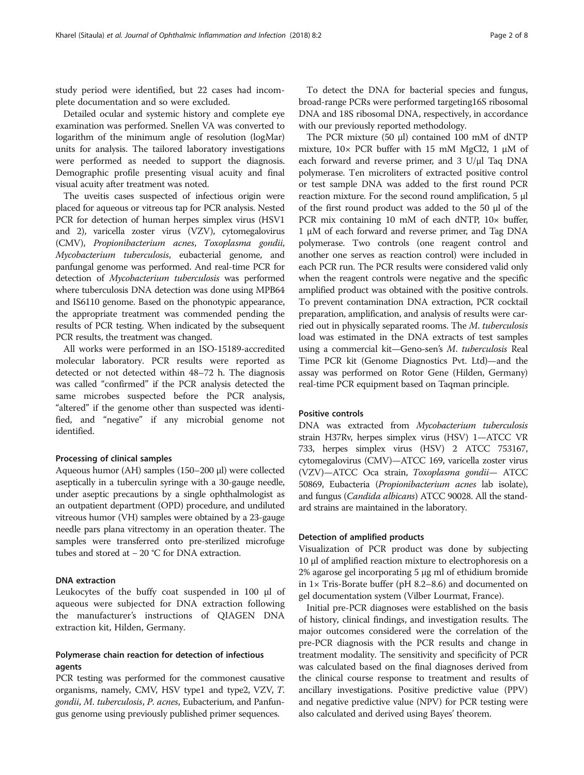study period were identified, but 22 cases had incomplete documentation and so were excluded.

Detailed ocular and systemic history and complete eye examination was performed. Snellen VA was converted to logarithm of the minimum angle of resolution (logMar) units for analysis. The tailored laboratory investigations were performed as needed to support the diagnosis. Demographic profile presenting visual acuity and final visual acuity after treatment was noted.

The uveitis cases suspected of infectious origin were placed for aqueous or vitreous tap for PCR analysis. Nested PCR for detection of human herpes simplex virus (HSV1 and 2), varicella zoster virus (VZV), cytomegalovirus (CMV), Propionibacterium acnes, Toxoplasma gondii, Mycobacterium tuberculosis, eubacterial genome, and panfungal genome was performed. And real-time PCR for detection of Mycobacterium tuberculosis was performed where tuberculosis DNA detection was done using MPB64 and IS6110 genome. Based on the phonotypic appearance, the appropriate treatment was commended pending the results of PCR testing. When indicated by the subsequent PCR results, the treatment was changed.

All works were performed in an ISO-15189-accredited molecular laboratory. PCR results were reported as detected or not detected within 48–72 h. The diagnosis was called "confirmed" if the PCR analysis detected the same microbes suspected before the PCR analysis, "altered" if the genome other than suspected was identified, and "negative" if any microbial genome not identified.

### Processing of clinical samples

Aqueous humor (AH) samples (150–200 μl) were collected aseptically in a tuberculin syringe with a 30-gauge needle, under aseptic precautions by a single ophthalmologist as an outpatient department (OPD) procedure, and undiluted vitreous humor (VH) samples were obtained by a 23-gauge needle pars plana vitrectomy in an operation theater. The samples were transferred onto pre-sterilized microfuge tubes and stored at − 20 °C for DNA extraction.

## DNA extraction

Leukocytes of the buffy coat suspended in 100 μl of aqueous were subjected for DNA extraction following the manufacturer's instructions of QIAGEN DNA extraction kit, Hilden, Germany.

## Polymerase chain reaction for detection of infectious agents

PCR testing was performed for the commonest causative organisms, namely, CMV, HSV type1 and type2, VZV, T. gondii, M. tuberculosis, P. acnes, Eubacterium, and Panfungus genome using previously published primer sequences.

To detect the DNA for bacterial species and fungus, broad-range PCRs were performed targeting16S ribosomal DNA and 18S ribosomal DNA, respectively, in accordance with our previously reported methodology.

The PCR mixture (50 μl) contained 100 mM of dNTP mixture,  $10 \times PCR$  buffer with 15 mM MgCl2, 1  $\mu$ M of each forward and reverse primer, and 3 U/μl Taq DNA polymerase. Ten microliters of extracted positive control or test sample DNA was added to the first round PCR reaction mixture. For the second round amplification, 5 μl of the first round product was added to the 50 μl of the PCR mix containing 10 mM of each dNTP,  $10 \times$  buffer, 1 μM of each forward and reverse primer, and Tag DNA polymerase. Two controls (one reagent control and another one serves as reaction control) were included in each PCR run. The PCR results were considered valid only when the reagent controls were negative and the specific amplified product was obtained with the positive controls. To prevent contamination DNA extraction, PCR cocktail preparation, amplification, and analysis of results were carried out in physically separated rooms. The M. tuberculosis load was estimated in the DNA extracts of test samples using a commercial kit—Geno-sen's M. tuberculosis Real Time PCR kit (Genome Diagnostics Pvt. Ltd)—and the assay was performed on Rotor Gene (Hilden, Germany) real-time PCR equipment based on Taqman principle.

## Positive controls

DNA was extracted from Mycobacterium tuberculosis strain H37Rv, herpes simplex virus (HSV) 1—ATCC VR 733, herpes simplex virus (HSV) 2 ATCC 753167, cytomegalovirus (CMV)—ATCC 169, varicella zoster virus (VZV)—ATCC Oca strain, Toxoplasma gondii— ATCC 50869, Eubacteria (Propionibacterium acnes lab isolate), and fungus (Candida albicans) ATCC 90028. All the standard strains are maintained in the laboratory.

## Detection of amplified products

Visualization of PCR product was done by subjecting 10 μl of amplified reaction mixture to electrophoresis on a 2% agarose gel incorporating 5 μg ml of ethidium bromide in 1× Tris-Borate buffer (pH 8.2–8.6) and documented on gel documentation system (Vilber Lourmat, France).

Initial pre-PCR diagnoses were established on the basis of history, clinical findings, and investigation results. The major outcomes considered were the correlation of the pre-PCR diagnosis with the PCR results and change in treatment modality. The sensitivity and specificity of PCR was calculated based on the final diagnoses derived from the clinical course response to treatment and results of ancillary investigations. Positive predictive value (PPV) and negative predictive value (NPV) for PCR testing were also calculated and derived using Bayes' [theorem](https://en.wikipedia.org/wiki/Bayes%27_theorem).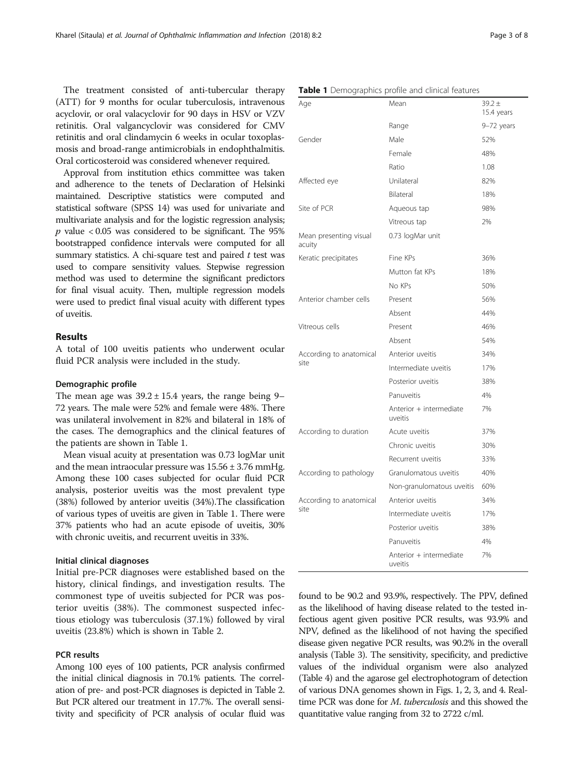The treatment consisted of anti-tubercular therapy (ATT) for 9 months for ocular tuberculosis, intravenous acyclovir, or oral valacyclovir for 90 days in HSV or VZV retinitis. Oral valgancyclovir was considered for CMV retinitis and oral clindamycin 6 weeks in ocular toxoplasmosis and broad-range antimicrobials in endophthalmitis. Oral corticosteroid was considered whenever required.

Approval from institution ethics committee was taken and adherence to the tenets of Declaration of Helsinki maintained. Descriptive statistics were computed and statistical software (SPSS 14) was used for univariate and multivariate analysis and for the logistic regression analysis;  $p$  value  $<0.05$  was considered to be significant. The 95% bootstrapped confidence intervals were computed for all summary statistics. A chi-square test and paired  $t$  test was used to compare sensitivity values. Stepwise regression method was used to determine the significant predictors for final visual acuity. Then, multiple regression models were used to predict final visual acuity with different types of uveitis.

## Results

A total of 100 uveitis patients who underwent ocular fluid PCR analysis were included in the study.

## Demographic profile

The mean age was  $39.2 \pm 15.4$  years, the range being 9– 72 years. The male were 52% and female were 48%. There was unilateral involvement in 82% and bilateral in 18% of the cases. The demographics and the clinical features of the patients are shown in Table 1.

Mean visual acuity at presentation was 0.73 logMar unit and the mean intraocular pressure was  $15.56 \pm 3.76$  mmHg. Among these 100 cases subjected for ocular fluid PCR analysis, posterior uveitis was the most prevalent type (38%) followed by anterior uveitis (34%).The classification of various types of uveitis are given in Table 1. There were 37% patients who had an acute episode of uveitis, 30% with chronic uveitis, and recurrent uveitis in 33%.

## Initial clinical diagnoses

Initial pre-PCR diagnoses were established based on the history, clinical findings, and investigation results. The commonest type of uveitis subjected for PCR was posterior uveitis (38%). The commonest suspected infectious etiology was tuberculosis (37.1%) followed by viral uveitis (23.8%) which is shown in Table [2.](#page-3-0)

## PCR results

Among 100 eyes of 100 patients, PCR analysis confirmed the initial clinical diagnosis in 70.1% patients. The correlation of pre- and post-PCR diagnoses is depicted in Table [2](#page-3-0). But PCR altered our treatment in 17.7%. The overall sensitivity and specificity of PCR analysis of ocular fluid was

| Age                              | Mean                               | $39.2 \pm$<br>15.4 years |  |  |
|----------------------------------|------------------------------------|--------------------------|--|--|
|                                  | Range                              | 9-72 years               |  |  |
| Gender                           | Male                               | 52%                      |  |  |
|                                  | Female                             | 48%                      |  |  |
|                                  | Ratio                              | 1.08                     |  |  |
| Affected eye                     | Unilateral                         | 82%                      |  |  |
|                                  | Bilateral                          | 18%                      |  |  |
| Site of PCR                      | Aqueous tap                        | 98%                      |  |  |
|                                  | Vitreous tap                       | 2%                       |  |  |
| Mean presenting visual<br>acuity | 0.73 logMar unit                   |                          |  |  |
| Keratic precipitates             | Fine KPs                           | 36%                      |  |  |
|                                  | Mutton fat KPs                     | 18%                      |  |  |
|                                  | No KPs                             | 50%                      |  |  |
| Anterior chamber cells           | Present                            | 56%                      |  |  |
|                                  | Absent                             | 44%                      |  |  |
| Vitreous cells                   | Present                            | 46%                      |  |  |
|                                  | Absent                             | 54%                      |  |  |
| According to anatomical          | Anterior uveitis                   | 34%                      |  |  |
| site                             | Intermediate uveitis               | 17%                      |  |  |
|                                  | Posterior uveitis                  | 38%                      |  |  |
|                                  | Panuveitis                         | 4%                       |  |  |
|                                  | Anterior + intermediate<br>uveitis | 7%                       |  |  |
| According to duration            | Acute uveitis                      | 37%                      |  |  |
|                                  | Chronic uveitis                    | 30%                      |  |  |
|                                  | Recurrent uveitis                  | 33%                      |  |  |
| According to pathology           | Granulomatous uveitis              | 40%                      |  |  |
|                                  | Non-granulomatous uveitis          | 60%                      |  |  |
| According to anatomical          | Anterior uveitis                   | 34%                      |  |  |
| site                             | Intermediate uveitis               | 17%                      |  |  |
|                                  | Posterior uveitis                  | 38%                      |  |  |
|                                  | Panuveitis                         | 4%                       |  |  |
|                                  | Anterior + intermediate<br>uveitis | 7%                       |  |  |

### Table 1 Demographics profile and clinical features

found to be 90.2 and 93.9%, respectively. The PPV, defined as the likelihood of having disease related to the tested infectious agent given positive PCR results, was 93.9% and NPV, defined as the likelihood of not having the specified disease given negative PCR results, was 90.2% in the overall analysis (Table [3\)](#page-3-0). The sensitivity, specificity, and predictive values of the individual organism were also analyzed (Table [4](#page-4-0)) and the agarose gel electrophotogram of detection of various DNA genomes shown in Figs. [1](#page-4-0), [2](#page-5-0), [3,](#page-5-0) and [4.](#page-6-0) Realtime PCR was done for *M. tuberculosis* and this showed the quantitative value ranging from 32 to 2722 c/ml.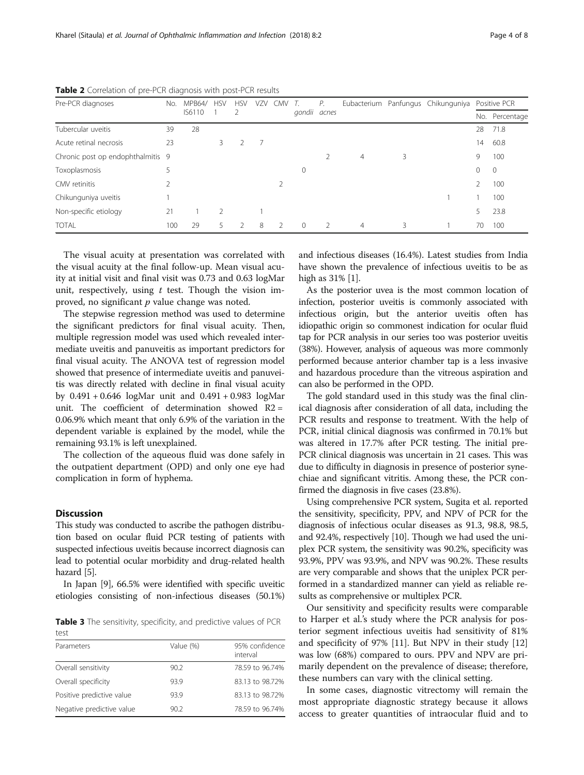| Pre-PCR diagnoses                 | No. | <b>MPB64/</b> | <b>HSV</b> | <b>HSV</b> | VZV            | <b>CMV</b>    |              | Р. |                |   | Eubacterium Panfungus Chikunguniya |         | Positive PCR   |
|-----------------------------------|-----|---------------|------------|------------|----------------|---------------|--------------|----|----------------|---|------------------------------------|---------|----------------|
|                                   |     | IS6110        |            | -2         |                |               | gondii acnes |    |                |   |                                    |         | No. Percentage |
| Tubercular uveitis                | 39  | 28            |            |            |                |               |              |    |                |   |                                    | 28      | 71.8           |
| Acute retinal necrosis            | 23  |               | 3          |            | $\overline{7}$ |               |              |    |                |   |                                    | 14      | 60.8           |
| Chronic post op endophthalmitis 9 |     |               |            |            |                |               |              |    | $\overline{4}$ | 3 |                                    | 9       | 100            |
| Toxoplasmosis                     |     |               |            |            |                |               | $\mathbf 0$  |    |                |   |                                    | $\circ$ | $\mathbf 0$    |
| CMV retinitis                     |     |               |            |            |                |               |              |    |                |   |                                    | 2       | 100            |
| Chikunguniya uveitis              |     |               |            |            |                |               |              |    |                |   |                                    |         | 100            |
| Non-specific etiology             | 21  |               | 2          |            |                |               |              |    |                |   |                                    | 5       | 23.8           |
| <b>TOTAL</b>                      | 100 | 29            |            |            | 8              | $\mathcal{L}$ | $\Omega$     |    | $\overline{4}$ | 3 |                                    | 70      | 100            |

<span id="page-3-0"></span>Table 2 Correlation of pre-PCR diagnosis with post-PCR results

The visual acuity at presentation was correlated with the visual acuity at the final follow-up. Mean visual acuity at initial visit and final visit was 0.73 and 0.63 logMar unit, respectively, using  $t$  test. Though the vision improved, no significant  $p$  value change was noted.

The stepwise regression method was used to determine the significant predictors for final visual acuity. Then, multiple regression model was used which revealed intermediate uveitis and panuveitis as important predictors for final visual acuity. The ANOVA test of regression model showed that presence of intermediate uveitis and panuveitis was directly related with decline in final visual acuity by 0.491 + 0.646 logMar unit and 0.491 + 0.983 logMar unit. The coefficient of determination showed  $R2 =$ 0.06.9% which meant that only 6.9% of the variation in the dependent variable is explained by the model, while the remaining 93.1% is left unexplained.

The collection of the aqueous fluid was done safely in the outpatient department (OPD) and only one eye had complication in form of hyphema.

## Discussion

This study was conducted to ascribe the pathogen distribution based on ocular fluid PCR testing of patients with suspected infectious uveitis because incorrect diagnosis can lead to potential ocular morbidity and drug-related health hazard [[5](#page-7-0)].

In Japan [[9](#page-7-0)], 66.5% were identified with specific uveitic etiologies consisting of non-infectious diseases (50.1%)

Table 3 The sensitivity, specificity, and predictive values of PCR test

| Parameters                | Value (%) | 95% confidence<br>interval |
|---------------------------|-----------|----------------------------|
| Overall sensitivity       | 90.2      | 78.59 to 96.74%            |
| Overall specificity       | 93.9      | 83.13 to 98.72%            |
| Positive predictive value | 93.9      | 83.13 to 98.72%            |
| Negative predictive value | 90.2      | 78.59 to 96.74%            |
|                           |           |                            |

and infectious diseases (16.4%). Latest studies from India have shown the prevalence of infectious uveitis to be as high as 31% [[1\]](#page-7-0).

As the posterior uvea is the most common location of infection, posterior uveitis is commonly associated with infectious origin, but the anterior uveitis often has idiopathic origin so commonest indication for ocular fluid tap for PCR analysis in our series too was posterior uveitis (38%). However, analysis of aqueous was more commonly performed because anterior chamber tap is a less invasive and hazardous procedure than the vitreous aspiration and can also be performed in the OPD.

The gold standard used in this study was the final clinical diagnosis after consideration of all data, including the PCR results and response to treatment. With the help of PCR, initial clinical diagnosis was confirmed in 70.1% but was altered in 17.7% after PCR testing. The initial pre-PCR clinical diagnosis was uncertain in 21 cases. This was due to difficulty in diagnosis in presence of posterior synechiae and significant vitritis. Among these, the PCR confirmed the diagnosis in five cases (23.8%).

Using comprehensive PCR system, Sugita et al. reported the sensitivity, specificity, PPV, and NPV of PCR for the diagnosis of infectious ocular diseases as 91.3, 98.8, 98.5, and 92.4%, respectively [[10](#page-7-0)]. Though we had used the uniplex PCR system, the sensitivity was 90.2%, specificity was 93.9%, PPV was 93.9%, and NPV was 90.2%. These results are very comparable and shows that the uniplex PCR performed in a standardized manner can yield as reliable results as comprehensive or multiplex PCR.

Our sensitivity and specificity results were comparable to Harper et al.'s study where the PCR analysis for posterior segment infectious uveitis had sensitivity of 81% and specificity of 97% [\[11](#page-7-0)]. But NPV in their study [[12](#page-7-0)] was low (68%) compared to ours. PPV and NPV are primarily dependent on the prevalence of disease; therefore, these numbers can vary with the clinical setting.

In some cases, diagnostic vitrectomy will remain the most appropriate diagnostic strategy because it allows access to greater quantities of intraocular fluid and to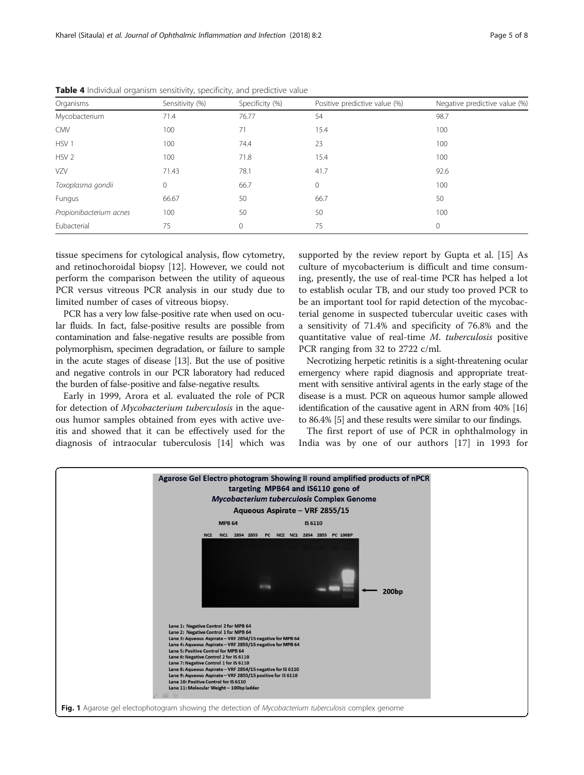| Organisms               | Sensitivity (%) | Specificity (%) | Positive predictive value (%) | Negative predictive value (%) |
|-------------------------|-----------------|-----------------|-------------------------------|-------------------------------|
| Mycobacterium           | 71.4            | 76.77           | 54                            | 98.7                          |
| <b>CMV</b>              | 100             | 71              | 15.4                          | 100                           |
| HSV <sub>1</sub>        | 100             | 74.4            | 23                            | 100                           |
| HSV <sub>2</sub>        | 100             | 71.8            | 15.4                          | 100                           |
| <b>VZV</b>              | 71.43           | 78.1            | 41.7                          | 92.6                          |
| Toxoplasma gondii       | 0               | 66.7            | 0                             | 100                           |
| Fungus                  | 66.67           | 50              | 66.7                          | 50                            |
| Propionibacterium acnes | 100             | 50              | 50                            | 100                           |
| Eubacterial             | 75              | 0               | 75                            | $\mathbf 0$                   |

<span id="page-4-0"></span>Table 4 Individual organism sensitivity, specificity, and predictive value

tissue specimens for cytological analysis, flow cytometry, and retinochoroidal biopsy [[12\]](#page-7-0). However, we could not perform the comparison between the utility of aqueous PCR versus vitreous PCR analysis in our study due to limited number of cases of vitreous biopsy.

PCR has a very low false-positive rate when used on ocular fluids. In fact, false-positive results are possible from contamination and false-negative results are possible from polymorphism, specimen degradation, or failure to sample in the acute stages of disease [\[13](#page-7-0)]. But the use of positive and negative controls in our PCR laboratory had reduced the burden of false-positive and false-negative results.

Early in 1999, Arora et al. evaluated the role of PCR for detection of Mycobacterium tuberculosis in the aqueous humor samples obtained from eyes with active uveitis and showed that it can be effectively used for the diagnosis of intraocular tuberculosis [\[14\]](#page-7-0) which was

supported by the review report by Gupta et al. [[15\]](#page-7-0) As culture of mycobacterium is difficult and time consuming, presently, the use of real-time PCR has helped a lot to establish ocular TB, and our study too proved PCR to be an important tool for rapid detection of the mycobacterial genome in suspected tubercular uveitic cases with a sensitivity of 71.4% and specificity of 76.8% and the quantitative value of real-time M. tuberculosis positive PCR ranging from 32 to 2722 c/ml.

Necrotizing herpetic retinitis is a sight-threatening ocular emergency where rapid diagnosis and appropriate treatment with sensitive antiviral agents in the early stage of the disease is a must. PCR on aqueous humor sample allowed identification of the causative agent in ARN from 40% [\[16](#page-7-0)] to 86.4% [[5](#page-7-0)] and these results were similar to our findings.

The first report of use of PCR in ophthalmology in India was by one of our authors [[17\]](#page-7-0) in 1993 for

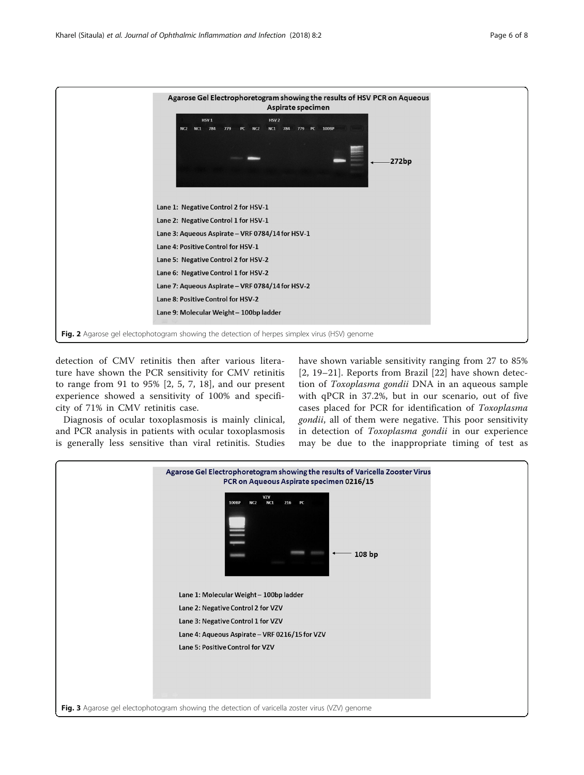<span id="page-5-0"></span>

detection of CMV retinitis then after various literature have shown the PCR sensitivity for CMV retinitis to range from 91 to 95% [[2, 5](#page-7-0), [7](#page-7-0), [18](#page-7-0)], and our present experience showed a sensitivity of 100% and specificity of 71% in CMV retinitis case.

Diagnosis of ocular toxoplasmosis is mainly clinical, and PCR analysis in patients with ocular toxoplasmosis is generally less sensitive than viral retinitis. Studies have shown variable sensitivity ranging from 27 to 85% [[2](#page-7-0), [19](#page-7-0)–[21\]](#page-7-0). Reports from Brazil [[22](#page-7-0)] have shown detection of Toxoplasma gondii DNA in an aqueous sample with qPCR in 37.2%, but in our scenario, out of five cases placed for PCR for identification of Toxoplasma gondii, all of them were negative. This poor sensitivity in detection of Toxoplasma gondii in our experience may be due to the inappropriate timing of test as

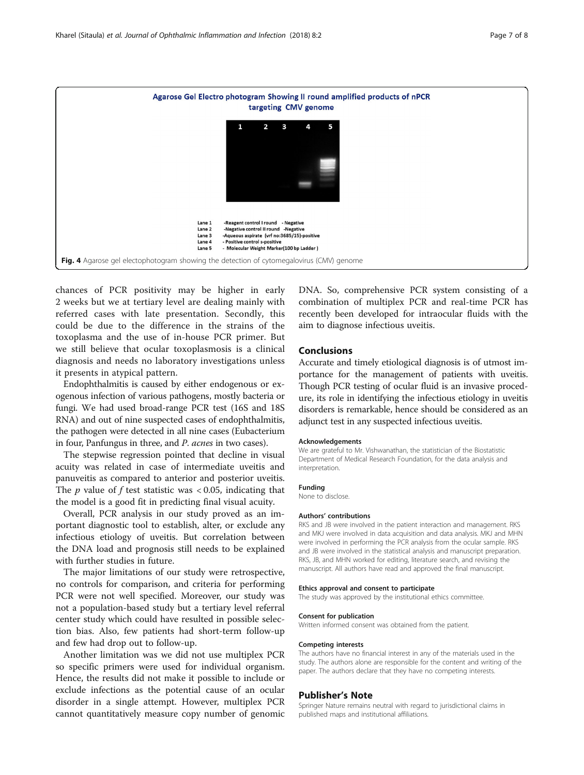<span id="page-6-0"></span>

chances of PCR positivity may be higher in early 2 weeks but we at tertiary level are dealing mainly with referred cases with late presentation. Secondly, this could be due to the difference in the strains of the toxoplasma and the use of in-house PCR primer. But we still believe that ocular toxoplasmosis is a clinical diagnosis and needs no laboratory investigations unless it presents in atypical pattern.

Endophthalmitis is caused by either endogenous or exogenous infection of various pathogens, mostly bacteria or fungi. We had used broad-range PCR test (16S and 18S RNA) and out of nine suspected cases of endophthalmitis, the pathogen were detected in all nine cases (Eubacterium in four, Panfungus in three, and P. acnes in two cases).

The stepwise regression pointed that decline in visual acuity was related in case of intermediate uveitis and panuveitis as compared to anterior and posterior uveitis. The  $p$  value of  $f$  test statistic was < 0.05, indicating that the model is a good fit in predicting final visual acuity.

Overall, PCR analysis in our study proved as an important diagnostic tool to establish, alter, or exclude any infectious etiology of uveitis. But correlation between the DNA load and prognosis still needs to be explained with further studies in future.

The major limitations of our study were retrospective, no controls for comparison, and criteria for performing PCR were not well specified. Moreover, our study was not a population-based study but a tertiary level referral center study which could have resulted in possible selection bias. Also, few patients had short-term follow-up and few had drop out to follow-up.

Another limitation was we did not use multiplex PCR so specific primers were used for individual organism. Hence, the results did not make it possible to include or exclude infections as the potential cause of an ocular disorder in a single attempt. However, multiplex PCR cannot quantitatively measure copy number of genomic DNA. So, comprehensive PCR system consisting of a combination of multiplex PCR and real-time PCR has recently been developed for intraocular fluids with the aim to diagnose infectious uveitis.

## Conclusions

Accurate and timely etiological diagnosis is of utmost importance for the management of patients with uveitis. Though PCR testing of ocular fluid is an invasive procedure, its role in identifying the infectious etiology in uveitis disorders is remarkable, hence should be considered as an adjunct test in any suspected infectious uveitis.

#### Acknowledgements

We are grateful to Mr. Vishwanathan, the statistician of the Biostatistic Department of Medical Research Foundation, for the data analysis and interpretation.

#### Funding

None to disclose.

#### Authors' contributions

RKS and JB were involved in the patient interaction and management. RKS and MKJ were involved in data acquisition and data analysis. MKJ and MHN were involved in performing the PCR analysis from the ocular sample. RKS and JB were involved in the statistical analysis and manuscript preparation. RKS, JB, and MHN worked for editing, literature search, and revising the manuscript. All authors have read and approved the final manuscript.

#### Ethics approval and consent to participate

The study was approved by the institutional ethics committee.

#### Consent for publication

Written informed consent was obtained from the patient.

#### Competing interests

The authors have no financial interest in any of the materials used in the study. The authors alone are responsible for the content and writing of the paper. The authors declare that they have no competing interests.

### Publisher's Note

Springer Nature remains neutral with regard to jurisdictional claims in published maps and institutional affiliations.